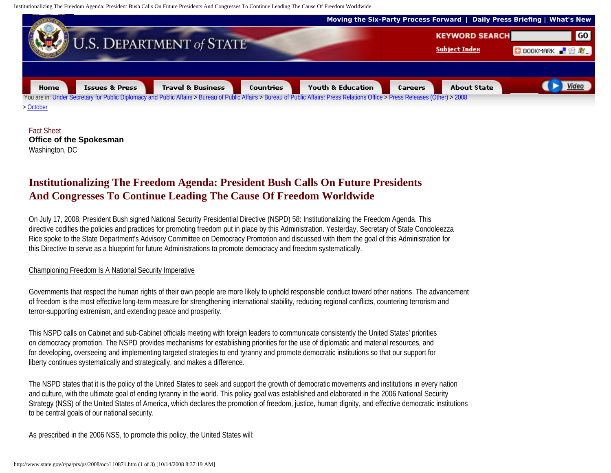Institutionalizing The Freedom Agenda: President Bush Calls On Future Presidents And Congresses To Continue Leading The Cause Of Freedom Worldwide



Fact Sheet **Office of the Spokesman** Washington, DC

## **Institutionalizing The Freedom Agenda: President Bush Calls On Future Presidents And Congresses To Continue Leading The Cause Of Freedom Worldwide**

On July 17, 2008, President Bush signed National Security Presidential Directive (NSPD) 58: Institutionalizing the Freedom Agenda. This directive codifies the policies and practices for promoting freedom put in place by this Administration. Yesterday, Secretary of State Condoleezza Rice spoke to the State Department's Advisory Committee on Democracy Promotion and discussed with them the goal of this Administration for this Directive to serve as a blueprint for future Administrations to promote democracy and freedom systematically.

## Championing Freedom Is A National Security Imperative

Governments that respect the human rights of their own people are more likely to uphold responsible conduct toward other nations. The advancement of freedom is the most effective long-term measure for strengthening international stability, reducing regional conflicts, countering terrorism and terror-supporting extremism, and extending peace and prosperity.

This NSPD calls on Cabinet and sub-Cabinet officials meeting with foreign leaders to communicate consistently the United States' priorities on democracy promotion. The NSPD provides mechanisms for establishing priorities for the use of diplomatic and material resources, and for developing, overseeing and implementing targeted strategies to end tyranny and promote democratic institutions so that our support for liberty continues systematically and strategically, and makes a difference.

The NSPD states that it is the policy of the United States to seek and support the growth of democratic movements and institutions in every nation and culture, with the ultimate goal of ending tyranny in the world. This policy goal was established and elaborated in the 2006 National Security Strategy (NSS) of the United States of America, which declares the promotion of freedom, justice, human dignity, and effective democratic institutions to be central goals of our national security.

As prescribed in the 2006 NSS, to promote this policy, the United States will: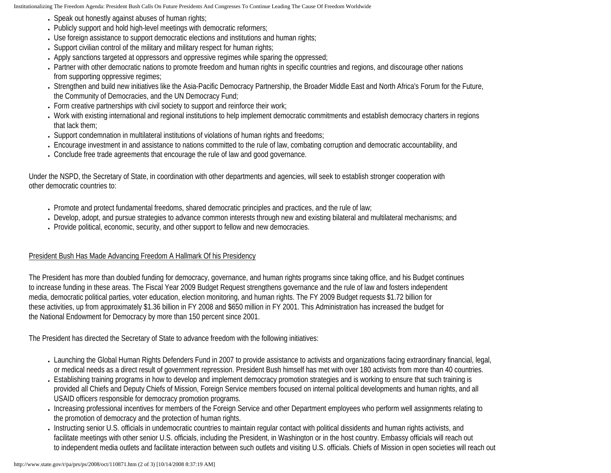Institutionalizing The Freedom Agenda: President Bush Calls On Future Presidents And Congresses To Continue Leading The Cause Of Freedom Worldwide

- Speak out honestly against abuses of human rights;
- Publicly support and hold high-level meetings with democratic reformers;
- Use foreign assistance to support democratic elections and institutions and human rights;
- Support civilian control of the military and military respect for human rights;
- Apply sanctions targeted at oppressors and oppressive regimes while sparing the oppressed;
- Partner with other democratic nations to promote freedom and human rights in specific countries and regions, and discourage other nations from supporting oppressive regimes;
- Strengthen and build new initiatives like the Asia-Pacific Democracy Partnership, the Broader Middle East and North Africa's Forum for the Future, the Community of Democracies, and the UN Democracy Fund;
- Form creative partnerships with civil society to support and reinforce their work;
- Work with existing international and regional institutions to help implement democratic commitments and establish democracy charters in regions that lack them;
- Support condemnation in multilateral institutions of violations of human rights and freedoms;
- Encourage investment in and assistance to nations committed to the rule of law, combating corruption and democratic accountability, and
- Conclude free trade agreements that encourage the rule of law and good governance.

Under the NSPD, the Secretary of State, in coordination with other departments and agencies, will seek to establish stronger cooperation with other democratic countries to:

- Promote and protect fundamental freedoms, shared democratic principles and practices, and the rule of law;
- Develop, adopt, and pursue strategies to advance common interests through new and existing bilateral and multilateral mechanisms; and
- Provide political, economic, security, and other support to fellow and new democracies.

## President Bush Has Made Advancing Freedom A Hallmark Of his Presidency

The President has more than doubled funding for democracy, governance, and human rights programs since taking office, and his Budget continues to increase funding in these areas. The Fiscal Year 2009 Budget Request strengthens governance and the rule of law and fosters independent media, democratic political parties, voter education, election monitoring, and human rights. The FY 2009 Budget requests \$1.72 billion for these activities, up from approximately \$1.36 billion in FY 2008 and \$650 million in FY 2001. This Administration has increased the budget for the National Endowment for Democracy by more than 150 percent since 2001.

The President has directed the Secretary of State to advance freedom with the following initiatives:

- Launching the Global Human Rights Defenders Fund in 2007 to provide assistance to activists and organizations facing extraordinary financial, legal, or medical needs as a direct result of government repression. President Bush himself has met with over 180 activists from more than 40 countries.
- Establishing training programs in how to develop and implement democracy promotion strategies and is working to ensure that such training is provided all Chiefs and Deputy Chiefs of Mission, Foreign Service members focused on internal political developments and human rights, and all USAID officers responsible for democracy promotion programs.
- Increasing professional incentives for members of the Foreign Service and other Department employees who perform well assignments relating to the promotion of democracy and the protection of human rights.
- Instructing senior U.S. officials in undemocratic countries to maintain regular contact with political dissidents and human rights activists, and facilitate meetings with other senior U.S. officials, including the President, in Washington or in the host country. Embassy officials will reach out to independent media outlets and facilitate interaction between such outlets and visiting U.S. officials. Chiefs of Mission in open societies will reach out